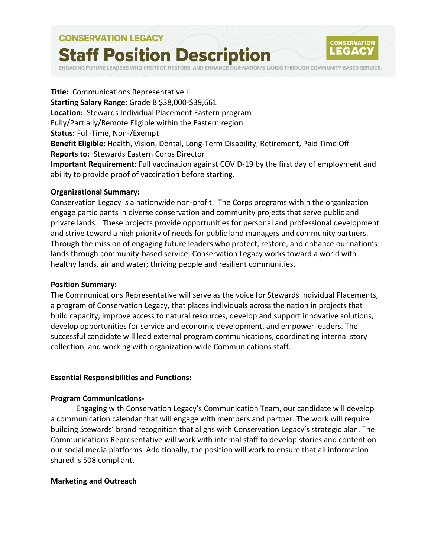# **CONSERVATION LEGACY Staff Position Description**



RESTORE, AND ENHANCE OUR NATION'S LANDS THROUGH COMMUNITY-BASED SERVICE.

**Title:** Communications Representative II **Starting Salary Range**: Grade B \$38,000-\$39,661 **Location:** Stewards Individual Placement Eastern program Fully/Partially/Remote Eligible within the Eastern region **Status:** Full-Time, Non-/Exempt **Benefit Eligible**: Health, Vision, Dental, Long-Term Disability, Retirement, Paid Time Off **Reports to:** Stewards Eastern Corps Director **Important Requirement**: Full vaccination against COVID-19 by the first day of employment and ability to provide proof of vaccination before starting.

### **Organizational Summary:**

Conservation Legacy is a nationwide non-profit. The Corps programs within the organization engage participants in diverse conservation and community projects that serve public and private lands. These projects provide opportunities for personal and professional development and strive toward a high priority of needs for public land managers and community partners. Through the mission of engaging future leaders who protect, restore, and enhance our nation's lands through community-based service; Conservation Legacy works toward a world with healthy lands, air and water; thriving people and resilient communities.

### **Position Summary:**

The Communications Representative will serve as the voice for Stewards Individual Placements, a program of Conservation Legacy, that places individuals across the nation in projects that build capacity, improve access to natural resources, develop and support innovative solutions, develop opportunities for service and economic development, and empower leaders. The successful candidate will lead external program communications, coordinating internal story collection, and working with organization-wide Communications staff.

# **Essential Responsibilities and Functions:**

### **Program Communications-**

Engaging with Conservation Legacy's Communication Team, our candidate will develop a communication calendar that will engage with members and partner. The work will require building Stewards' brand recognition that aligns with Conservation Legacy's strategic plan. The Communications Representative will work with internal staff to develop stories and content on our social media platforms. Additionally, the position will work to ensure that all information shared is 508 compliant.

# **Marketing and Outreach**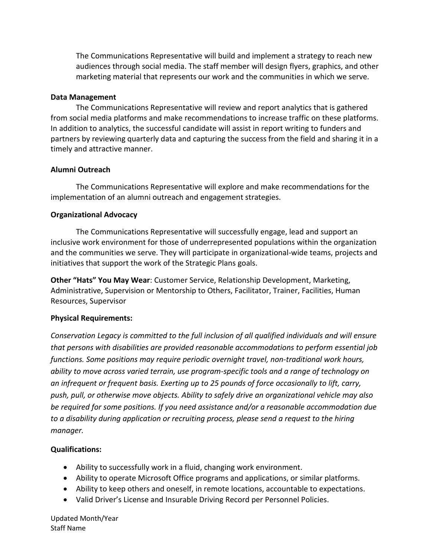The Communications Representative will build and implement a strategy to reach new audiences through social media. The staff member will design flyers, graphics, and other marketing material that represents our work and the communities in which we serve.

# **Data Management**

The Communications Representative will review and report analytics that is gathered from social media platforms and make recommendations to increase traffic on these platforms. In addition to analytics, the successful candidate will assist in report writing to funders and partners by reviewing quarterly data and capturing the success from the field and sharing it in a timely and attractive manner.

# **Alumni Outreach**

The Communications Representative will explore and make recommendations for the implementation of an alumni outreach and engagement strategies.

# **Organizational Advocacy**

The Communications Representative will successfully engage, lead and support an inclusive work environment for those of underrepresented populations within the organization and the communities we serve. They will participate in organizational-wide teams, projects and initiatives that support the work of the Strategic Plans goals.

**Other "Hats" You May Wear**: Customer Service, Relationship Development, Marketing, Administrative, Supervision or Mentorship to Others, Facilitator, Trainer, Facilities, Human Resources, Supervisor

# **Physical Requirements:**

*Conservation Legacy is committed to the full inclusion of all qualified individuals and will ensure that persons with disabilities are provided reasonable accommodations to perform essential job functions. Some positions may require periodic overnight travel, non-traditional work hours, ability to move across varied terrain, use program-specific tools and a range of technology on an infrequent or frequent basis. Exerting up to 25 pounds of force occasionally to lift, carry, push, pull, or otherwise move objects. Ability to safely drive an organizational vehicle may also be required for some positions. If you need assistance and/or a reasonable accommodation due to a disability during application or recruiting process, please send a request to the hiring manager.*

# **Qualifications:**

- Ability to successfully work in a fluid, changing work environment.
- Ability to operate Microsoft Office programs and applications, or similar platforms.
- Ability to keep others and oneself, in remote locations, accountable to expectations.
- Valid Driver's License and Insurable Driving Record per Personnel Policies.

Updated Month/Year Staff Name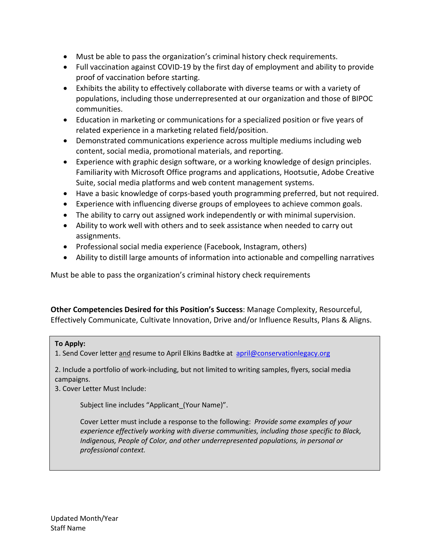- Must be able to pass the organization's criminal history check requirements.
- Full vaccination against COVID-19 by the first day of employment and ability to provide proof of vaccination before starting.
- Exhibits the ability to effectively collaborate with diverse teams or with a variety of populations, including those underrepresented at our organization and those of BIPOC communities.
- Education in marketing or communications for a specialized position or five years of related experience in a marketing related field/position.
- Demonstrated communications experience across multiple mediums including web content, social media, promotional materials, and reporting.
- Experience with graphic design software, or a working knowledge of design principles. Familiarity with Microsoft Office programs and applications, Hootsutie, Adobe Creative Suite, social media platforms and web content management systems.
- Have a basic knowledge of corps-based youth programming preferred, but not required.
- Experience with influencing diverse groups of employees to achieve common goals.
- The ability to carry out assigned work independently or with minimal supervision.
- Ability to work well with others and to seek assistance when needed to carry out assignments.
- Professional social media experience (Facebook, Instagram, others)
- Ability to distill large amounts of information into actionable and compelling narratives

Must be able to pass the organization's criminal history check requirements

**Other Competencies Desired for this Position's Success**: Manage Complexity, Resourceful, Effectively Communicate, Cultivate Innovation, Drive and/or Influence Results, Plans & Aligns.

# **To Apply:**

1. Send Cover letter and resume to April Elkins Badtke at [april@conservationlegacy.org](mailto:april@conservationlegacy.org) 

2. Include a portfolio of work-including, but not limited to writing samples, flyers, social media campaigns.

3. Cover Letter Must Include:

Subject line includes "Applicant\_(Your Name)".

Cover Letter must include a response to the following: *Provide some examples of your experience effectively working with diverse communities, including those specific to Black, Indigenous, People of Color, and other underrepresented populations, in personal or professional context.*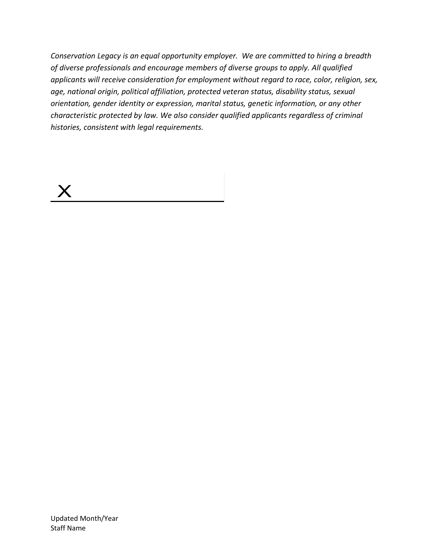*Conservation Legacy is an equal opportunity employer. We are committed to hiring a breadth of diverse professionals and encourage members of diverse groups to apply. All qualified applicants will receive consideration for employment without regard to race, color, religion, sex, age, national origin, political affiliation, protected veteran status, disability status, sexual orientation, gender identity or expression, marital status, genetic information, or any other characteristic protected by law. We also consider qualified applicants regardless of criminal histories, consistent with legal requirements.*